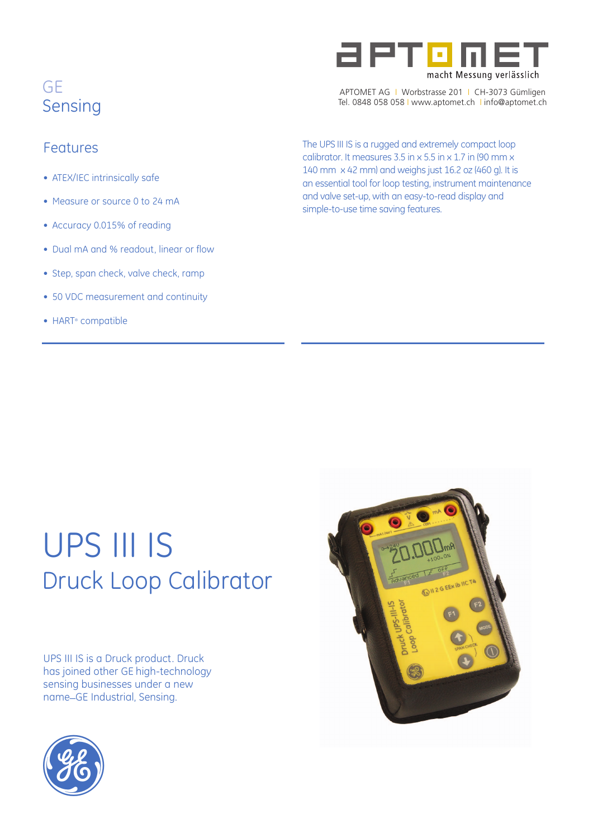

- ATEX/IEC intrinsically safe
- Measure or source 0 to 24 mA
- Accuracy 0.015% of reading
- Dual mA and % readout, linear or flow
- Step, span check, valve check, ramp
- 50 VDC measurement and continuity
- HART<sup>®</sup> compatible



APTOMET AG I Worbstrasse 201 I CH-3073 Gümligen Tel. 0848 058 058 I www.aptomet.ch I info@aptomet.ch

Features The UPS III IS is a rugged and extremely compact loop calibrator. It measures 3.5 in x 5.5 in x 1.7 in (90 mm x 140 mm x 42 mm) and weighs just 16.2 oz (460 g). It is an essential tool for loop testing, instrument maintenance and valve set-up, with an easy-to-read display and simple-to-use time saving features.

# UPS III IS Druck Loop Calibrator

UPS III IS is a Druck product. Druck has joined other GE high-technology sensing businesses under a new name\_GE Industrial, Sensing.



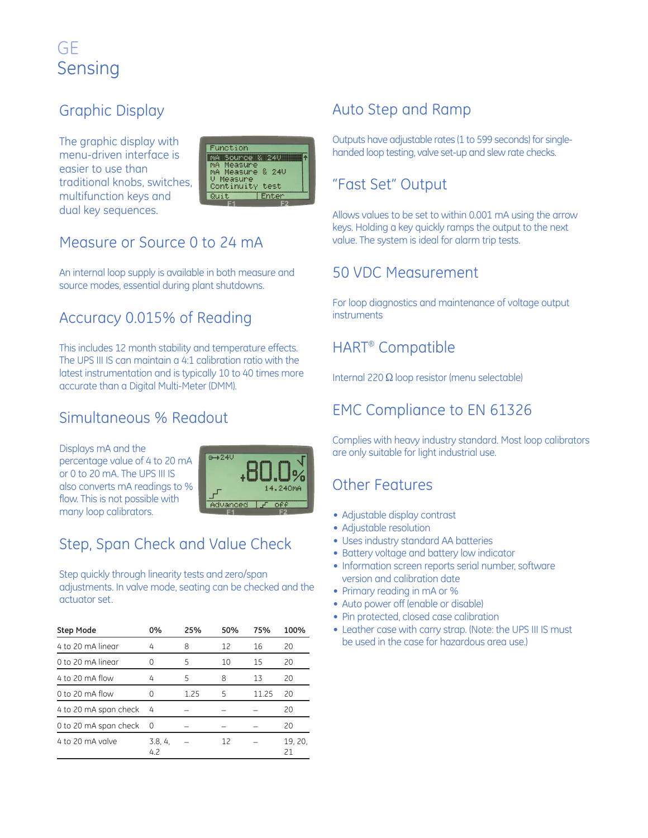## Graphic Display

The graphic display with menu-driven interface is easier to use than traditional knobs, switches, multifunction keys and dual key sequences.



## Measure or Source 0 to 24 mA

An internal loop supply is available in both measure and source modes, essential during plant shutdowns.

## Accuracy 0.015% of Reading

This includes 12 month stability and temperature effects. The UPS III IS can maintain a 4:1 calibration ratio with the latest instrumentation and is typically 10 to 40 times more accurate than a Digital Multi-Meter (DMM).

## Simultaneous % Readout

Displays mA and the percentage value of 4 to 20 mA or 0 to 20 mA. The UPS III IS also converts mA readings to % flow. This is not possible with many loop calibrators.



## Step, Span Check and Value Check

Step quickly through linearity tests and zero/span adjustments. In valve mode, seating can be checked and the actuator set.

| <b>Step Mode</b>      | 0%             | 25%  | 50% | 75%   | 100%          |
|-----------------------|----------------|------|-----|-------|---------------|
| 4 to 20 mA linear     | 4              | 8    | 12  | 16    | 20            |
| 0 to 20 mA linear     |                | 5    | 10  | 15    | 20            |
| 4 to 20 mA flow       | 4              | 5    | 8   | 13    | 20            |
| 0 to 20 $mA$ flow     |                | 1.25 | 5   | 11.25 | 20            |
| 4 to 20 mA span check | 4              |      |     |       | 20            |
| 0 to 20 mA span check | 0              |      |     |       | 20            |
| 4 to 20 mA valve      | 3.8, 4,<br>4.2 |      | 12  |       | 19, 20,<br>21 |

## Auto Step and Ramp

Outputs have adjustable rates (1 to 599 seconds) for singlehanded loop testing, valve set-up and slew rate checks.

## "Fast Set" Output

Allows values to be set to within 0.001 mA using the arrow keys. Holding a key quickly ramps the output to the next value. The system is ideal for alarm trip tests.

### 50 VDC Measurement

For loop diagnostics and maintenance of voltage output **instruments** 

## HART® Compatible

Internal 220  $\Omega$  loop resistor (menu selectable)

## EMC Compliance to EN 61326

Complies with heavy industry standard. Most loop calibrators are only suitable for light industrial use.

### Other Features

- Adjustable display contrast
- Adjustable resolution
- Uses industry standard AA batteries
- Battery voltage and battery low indicator
- Information screen reports serial number, software version and calibration date
- Primary reading in mA or %
- Auto power off (enable or disable)
- Pin protected, closed case calibration
- Leather case with carry strap. (Note: the UPS III IS must be used in the case for hazardous area use.)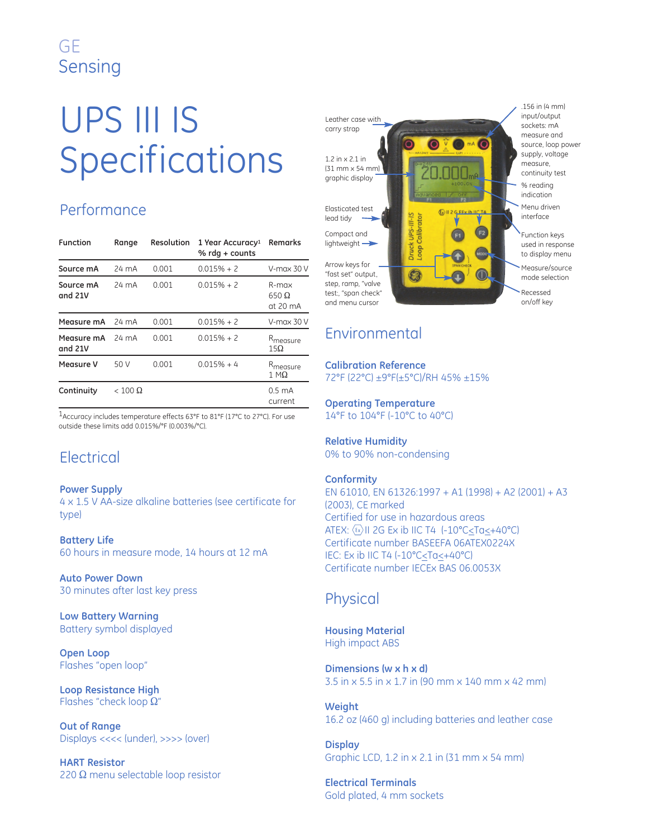# UPS III IS Specifications

## Performance

| <b>Function</b>       | Range          | Resolution | 1 Year Accuracy <sup>1</sup><br>% $rdq + counts$ | Remarks                                     |
|-----------------------|----------------|------------|--------------------------------------------------|---------------------------------------------|
| Source mA             | 24 mA          | 0.001      | $0.015% + 2$                                     | $V$ -max 30 $V$                             |
| Source mA<br>and 21V  | 24 mA          | 0.001      | $0.015% + 2$                                     | R-max<br>$650 \Omega$<br>at $20 \text{ mA}$ |
| Measure mA            | 24 mA          | 0.001      | $0.015% + 2$                                     | $V$ -max 30 $V$                             |
| Measure mA<br>and 21V | 24 mA          | 0.001      | $0.015% + 2$                                     | R <sub>measure</sub><br>$15\Omega$          |
| Measure V             | 50 V           | 0.001      | $0.015% + 4$                                     | R <sub>measure</sub><br>$1 M\Omega$         |
| Continuity            | $< 100 \Omega$ |            |                                                  | $0.5 \text{ mA}$<br>current                 |

1Accuracy includes temperature effects 63°F to 81°F (17°C to 27°C). For use outside these limits add 0.015%/°F (0.003%/°C).

## **Electrical**

#### **Power Supply**

4 x 1.5 V AA-size alkaline batteries (see certificate for type)

**Battery Life** 60 hours in measure mode, 14 hours at 12 mA

**Auto Power Down** 30 minutes after last key press

**Low Battery Warning** Battery symbol displayed

**Open Loop** Flashes "open loop"

**Loop Resistance High** Flashes "check loop  $\Omega$ "

**Out of Range** Displays <<<< (under), >>>> (over)

**HART Resistor** 220  $\Omega$  menu selectable loop resistor



## Environmental

**Calibration Reference** 72°F (22°C) ±9°F(±5°C)/RH 45% ±15%

**Operating Temperature** 14°F to 104°F (-10°C to 40°C)

**Relative Humidity** 0% to 90% non-condensing

#### **Conformity**

EN 61010, EN 61326:1997 + A1 (1998) + A2 (2001) + A3 (2003), CE marked Certified for use in hazardous areas ATEX:  $\langle \Omega \rangle$ II 2G Ex ib IIC T4  $(-10^{\circ}$ C <Ta<+40°C) Certificate number BASEEFA 06ATEX0224X IEC: Ex ib IIC T4 (-10°C<Ta<+40°C) Certificate number IECEx BAS 06.0053X

### Physical

**Housing Material** High impact ABS

**Dimensions (w x h x d)** 3.5 in x 5.5 in x 1.7 in (90 mm x 140 mm x 42 mm)

**Weight** 16.2 oz (460 g) including batteries and leather case

**Display** Graphic LCD, 1.2 in x 2.1 in (31 mm x 54 mm)

**Electrical Terminals** Gold plated, 4 mm sockets